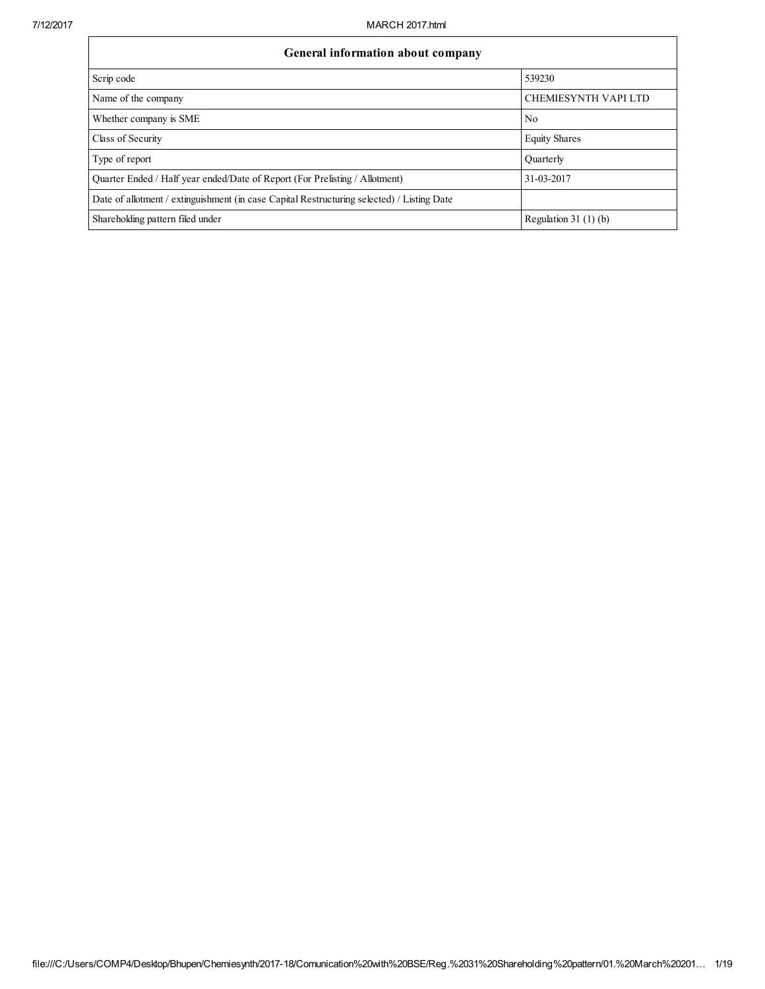| General information about company                                                          |                             |  |  |  |  |  |  |  |  |  |
|--------------------------------------------------------------------------------------------|-----------------------------|--|--|--|--|--|--|--|--|--|
| Scrip code                                                                                 | 539230                      |  |  |  |  |  |  |  |  |  |
| Name of the company                                                                        | <b>CHEMIESYNTH VAPI LTD</b> |  |  |  |  |  |  |  |  |  |
| Whether company is SME                                                                     | N <sub>0</sub>              |  |  |  |  |  |  |  |  |  |
| Class of Security                                                                          | <b>Equity Shares</b>        |  |  |  |  |  |  |  |  |  |
| Type of report                                                                             | Quarterly                   |  |  |  |  |  |  |  |  |  |
| Ouarter Ended / Half year ended/Date of Report (For Prelisting / Allotment)                | 31-03-2017                  |  |  |  |  |  |  |  |  |  |
| Date of allotment / extinguishment (in case Capital Restructuring selected) / Listing Date |                             |  |  |  |  |  |  |  |  |  |
| Shareholding pattern filed under                                                           | Regulation 31 $(1)(b)$      |  |  |  |  |  |  |  |  |  |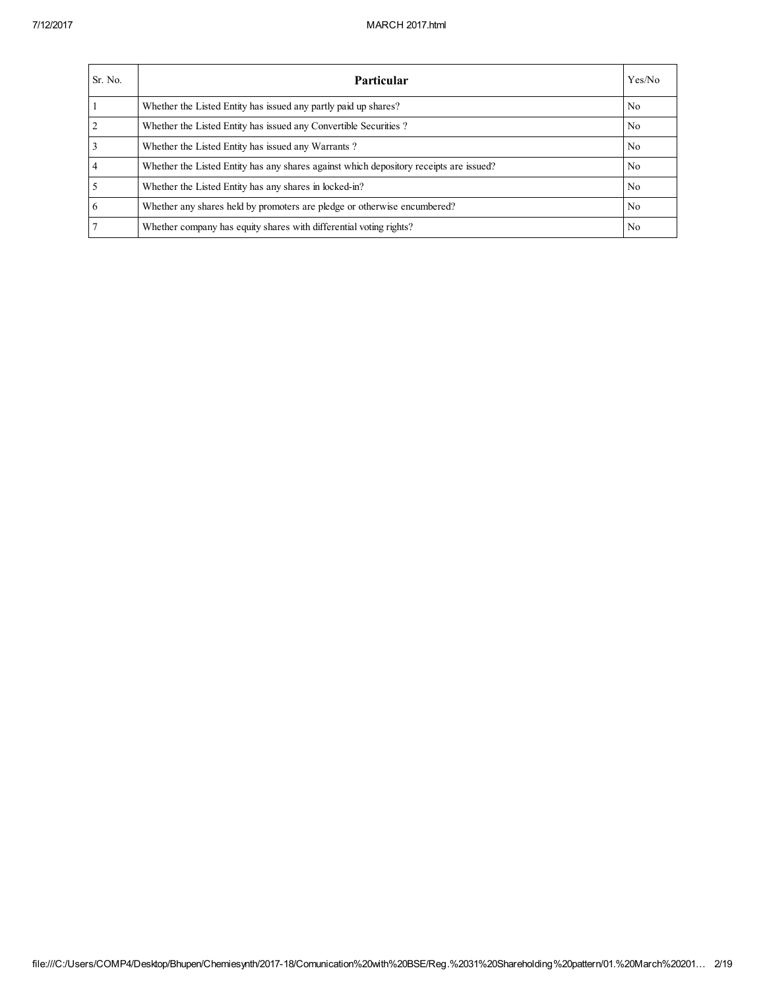| Sr. No.        | Particular                                                                             | Yes/No         |
|----------------|----------------------------------------------------------------------------------------|----------------|
|                | Whether the Listed Entity has issued any partly paid up shares?                        | No.            |
| $\overline{2}$ | Whether the Listed Entity has issued any Convertible Securities?                       | No.            |
| 3              | Whether the Listed Entity has issued any Warrants?                                     | No.            |
| $\overline{4}$ | Whether the Listed Entity has any shares against which depository receipts are issued? | No.            |
|                | Whether the Listed Entity has any shares in locked-in?                                 | No.            |
| 6              | Whether any shares held by promoters are pledge or otherwise encumbered?               | No.            |
|                | Whether company has equity shares with differential voting rights?                     | N <sub>0</sub> |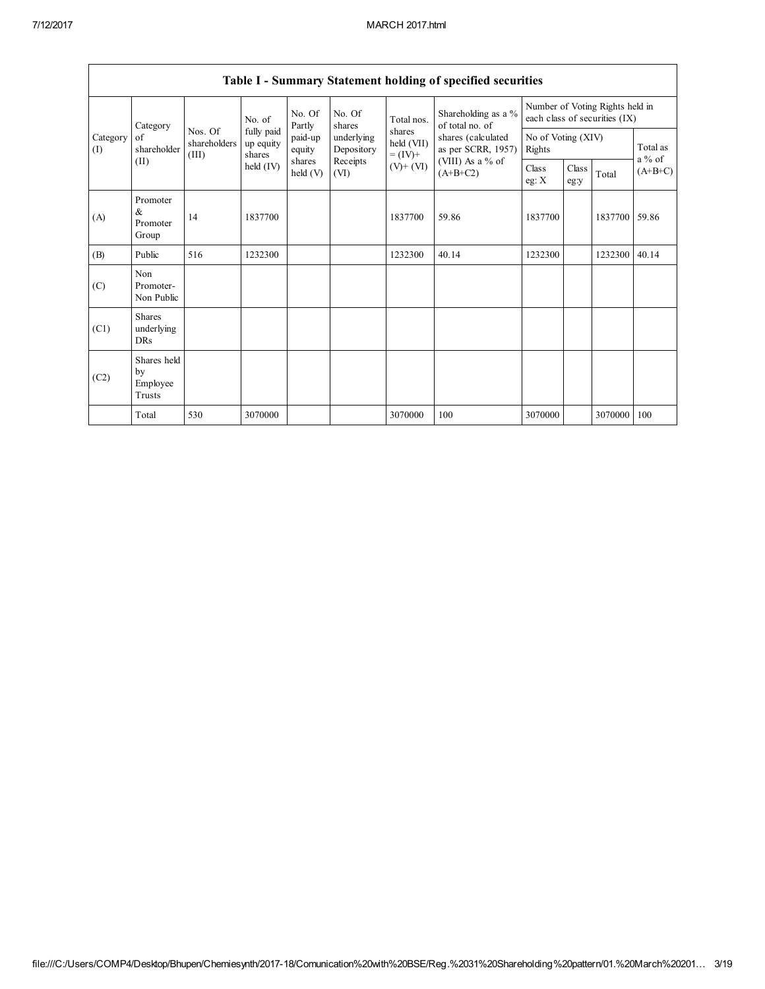|                                              | Table 1 - Summary Statement holding of specified securities |                                   |                   |                          |                                    |                                          |                                        |                  |               |                                                                  |                       |  |  |
|----------------------------------------------|-------------------------------------------------------------|-----------------------------------|-------------------|--------------------------|------------------------------------|------------------------------------------|----------------------------------------|------------------|---------------|------------------------------------------------------------------|-----------------------|--|--|
|                                              | Category                                                    |                                   | No. of            | No. Of<br>Partly         | No. Of<br>shares                   | Total nos.                               | Shareholding as a %<br>of total no. of |                  |               | Number of Voting Rights held in<br>each class of securities (IX) |                       |  |  |
| Category<br>of<br>shareholder<br>(I)<br>(II) | Nos. Of<br>shareholders<br>(III)                            | fully paid<br>up equity<br>shares | paid-up<br>equity | underlying<br>Depository | shares<br>held (VII)<br>$= (IV) +$ | shares (calculated<br>as per SCRR, 1957) | No of Voting (XIV)<br>Rights           |                  |               | Total as                                                         |                       |  |  |
|                                              |                                                             |                                   | held $(IV)$       | shares<br>held (V)       | Receipts<br>(VI)                   | $(V)$ + $(VI)$                           | (VIII) As a $%$ of<br>$(A+B+C2)$       | Class<br>eg: $X$ | Class<br>eg:y | Total                                                            | $a\%$ of<br>$(A+B+C)$ |  |  |
| (A)                                          | Promoter<br>$\&$<br>Promoter<br>Group                       | 14                                | 1837700           |                          |                                    | 1837700                                  | 59.86                                  | 1837700          |               | 1837700                                                          | 59.86                 |  |  |
| (B)                                          | Public                                                      | 516                               | 1232300           |                          |                                    | 1232300                                  | 40.14                                  | 1232300          |               | 1232300                                                          | 40.14                 |  |  |
| (C)                                          | Non<br>Promoter-<br>Non Public                              |                                   |                   |                          |                                    |                                          |                                        |                  |               |                                                                  |                       |  |  |
| (C1)                                         | <b>Shares</b><br>underlying<br><b>DRs</b>                   |                                   |                   |                          |                                    |                                          |                                        |                  |               |                                                                  |                       |  |  |
| (C2)                                         | Shares held<br>by<br>Employee<br>Trusts                     |                                   |                   |                          |                                    |                                          |                                        |                  |               |                                                                  |                       |  |  |
|                                              | Total                                                       | 530                               | 3070000           |                          |                                    | 3070000                                  | 100                                    | 3070000          |               | 3070000                                                          | 100                   |  |  |

## Table I - Summary Statement holding of specified securities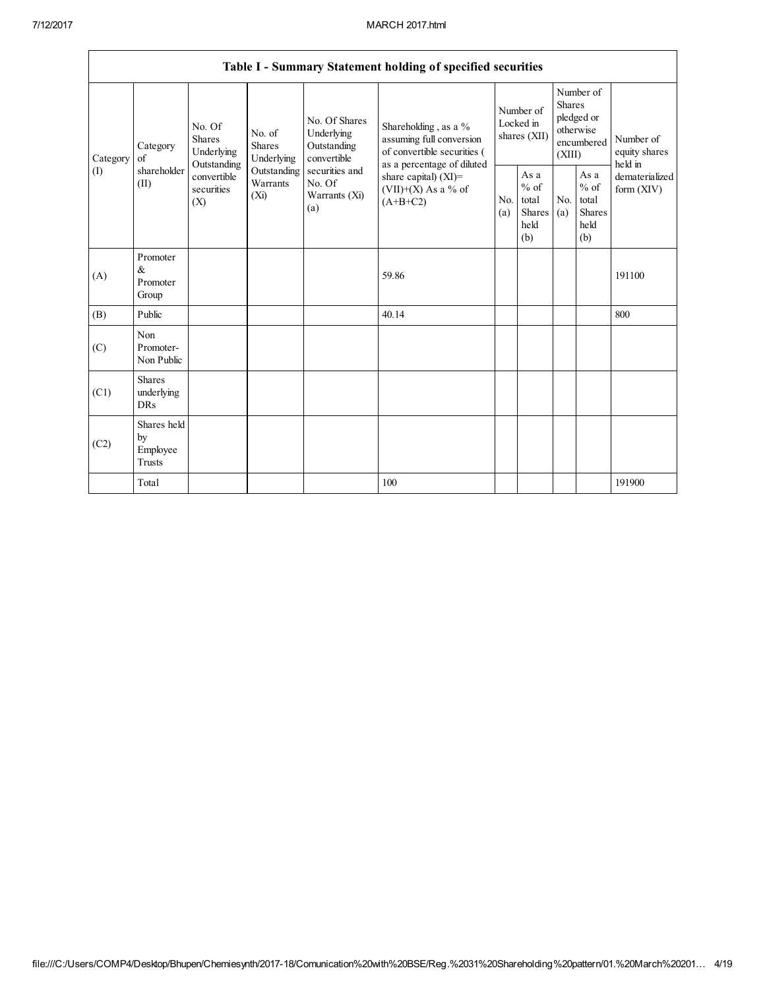|                 |                                           |                                                                                          |                                       |                                                                                                               | Table I - Summary Statement holding of specified securities                                                                                                                        |                                        |                                                  |                                                                               |                                                  |                                       |
|-----------------|-------------------------------------------|------------------------------------------------------------------------------------------|---------------------------------------|---------------------------------------------------------------------------------------------------------------|------------------------------------------------------------------------------------------------------------------------------------------------------------------------------------|----------------------------------------|--------------------------------------------------|-------------------------------------------------------------------------------|--------------------------------------------------|---------------------------------------|
| Category<br>(I) | Category<br>of<br>shareholder<br>(II)     | No. Of<br><b>Shares</b><br>Underlying<br>Outstanding<br>convertible<br>securities<br>(X) | No. of<br><b>Shares</b><br>Underlying | No. Of Shares<br>Underlying<br>Outstanding<br>convertible<br>securities and<br>No. Of<br>Warrants (Xi)<br>(a) | Shareholding, as a $\%$<br>assuming full conversion<br>of convertible securities (<br>as a percentage of diluted<br>share capital) $(XI)$ =<br>$(VII)+(X)$ As a % of<br>$(A+B+C2)$ | Number of<br>Locked in<br>shares (XII) |                                                  | Number of<br><b>Shares</b><br>pledged or<br>otherwise<br>encumbered<br>(XIII) |                                                  | Number of<br>equity shares<br>held in |
|                 |                                           |                                                                                          | Outstanding<br>Warrants<br>(Xi)       |                                                                                                               |                                                                                                                                                                                    | N <sub>0</sub><br>(a)                  | As a<br>$%$ of<br>total<br>Shares<br>held<br>(b) | N <sub>0</sub><br>(a)                                                         | As a<br>$%$ of<br>total<br>Shares<br>held<br>(b) | dematerialized<br>form $(XIV)$        |
| (A)             | Promoter<br>&<br>Promoter<br>Group        |                                                                                          |                                       |                                                                                                               | 59.86                                                                                                                                                                              |                                        |                                                  |                                                                               |                                                  | 191100                                |
| (B)             | Public                                    |                                                                                          |                                       |                                                                                                               | 40.14                                                                                                                                                                              |                                        |                                                  |                                                                               |                                                  | 800                                   |
| (C)             | Non<br>Promoter-<br>Non Public            |                                                                                          |                                       |                                                                                                               |                                                                                                                                                                                    |                                        |                                                  |                                                                               |                                                  |                                       |
| (C1)            | <b>Shares</b><br>underlying<br><b>DRs</b> |                                                                                          |                                       |                                                                                                               |                                                                                                                                                                                    |                                        |                                                  |                                                                               |                                                  |                                       |
| (C2)            | Shares held<br>by<br>Employee<br>Trusts   |                                                                                          |                                       |                                                                                                               |                                                                                                                                                                                    |                                        |                                                  |                                                                               |                                                  |                                       |
|                 | Total                                     |                                                                                          |                                       |                                                                                                               | 100                                                                                                                                                                                |                                        |                                                  |                                                                               |                                                  | 191900                                |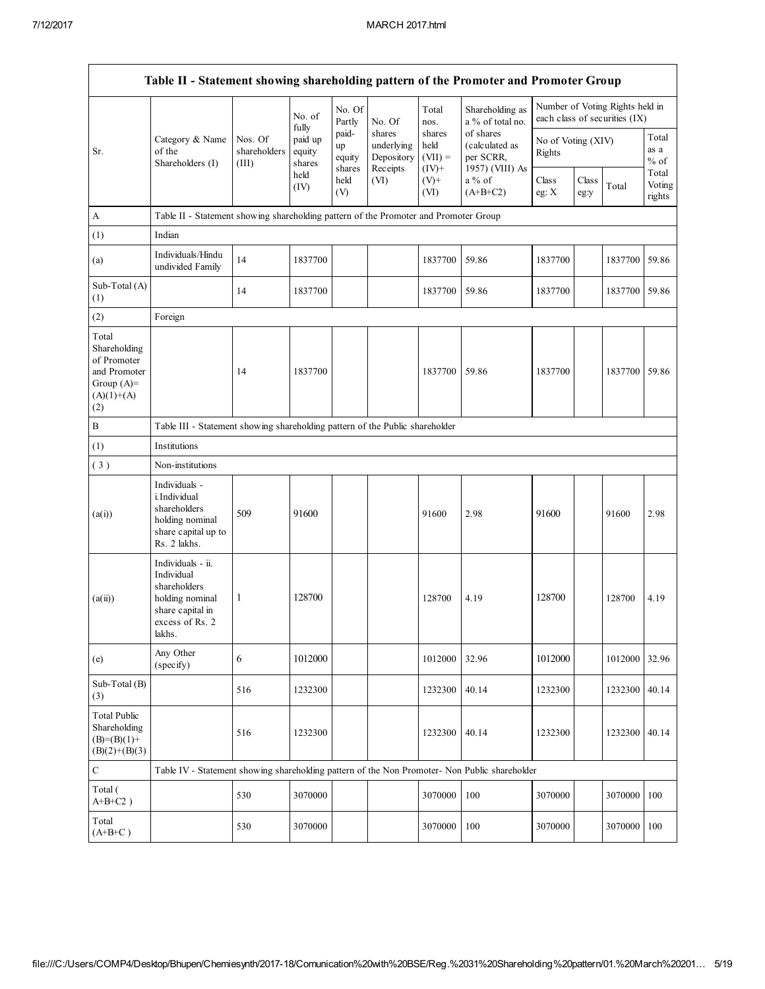|                                                                                             | Table II - Statement showing shareholding pattern of the Promoter and Promoter Group                                |                                                                              |                             |                                 |                                                |                                         |                                                             |                              |               |                                                                  |                           |
|---------------------------------------------------------------------------------------------|---------------------------------------------------------------------------------------------------------------------|------------------------------------------------------------------------------|-----------------------------|---------------------------------|------------------------------------------------|-----------------------------------------|-------------------------------------------------------------|------------------------------|---------------|------------------------------------------------------------------|---------------------------|
|                                                                                             |                                                                                                                     |                                                                              | No. of<br>fully             | No. Of<br>Partly                | No. Of                                         | Total<br>nos.                           | Shareholding as<br>a % of total no.                         |                              |               | Number of Voting Rights held in<br>each class of securities (IX) |                           |
| Sr.                                                                                         | Category & Name<br>of the<br>Shareholders (I)                                                                       | Nos. Of<br>shareholders<br>(III)                                             | paid up<br>equity<br>shares | paid-<br>up<br>equity<br>shares | shares<br>underlying<br>Depository<br>Receipts | shares<br>held<br>$(VII) =$<br>$(IV)^+$ | of shares<br>(calculated as<br>per SCRR.<br>1957) (VIII) As | No of Voting (XIV)<br>Rights |               |                                                                  | Total<br>as a<br>$%$ of   |
|                                                                                             |                                                                                                                     |                                                                              | held<br>(IV)                | held<br>(V)                     | (VI)                                           | $(V)+$<br>(VI)                          | a % of<br>$(A+B+C2)$                                        | Class<br>eg: $X$             | Class<br>eg:y | Total                                                            | Total<br>Voting<br>rights |
| A                                                                                           | Table II - Statement showing shareholding pattern of the Promoter and Promoter Group                                |                                                                              |                             |                                 |                                                |                                         |                                                             |                              |               |                                                                  |                           |
| (1)                                                                                         | Indian                                                                                                              |                                                                              |                             |                                 |                                                |                                         |                                                             |                              |               |                                                                  |                           |
| (a)                                                                                         | Individuals/Hindu<br>undivided Family                                                                               | 14                                                                           | 1837700                     |                                 |                                                | 1837700                                 | 59.86                                                       | 1837700                      |               | 1837700                                                          | 59.86                     |
| Sub-Total (A)<br>(1)                                                                        |                                                                                                                     | 14                                                                           | 1837700                     |                                 |                                                | 1837700                                 | 59.86                                                       | 1837700                      |               | 1837700                                                          | 59.86                     |
| (2)                                                                                         | Foreign                                                                                                             |                                                                              |                             |                                 |                                                |                                         |                                                             |                              |               |                                                                  |                           |
| Total<br>Shareholding<br>of Promoter<br>and Promoter<br>Group $(A)=$<br>$(A)(1)+(A)$<br>(2) |                                                                                                                     | 14                                                                           | 1837700                     |                                 |                                                | 1837700                                 | 59.86                                                       | 1837700                      |               | 1837700                                                          | 59.86                     |
| $\, {\bf B}$                                                                                |                                                                                                                     | Table III - Statement showing shareholding pattern of the Public shareholder |                             |                                 |                                                |                                         |                                                             |                              |               |                                                                  |                           |
| (1)                                                                                         | Institutions                                                                                                        |                                                                              |                             |                                 |                                                |                                         |                                                             |                              |               |                                                                  |                           |
| (3)                                                                                         | Non-institutions                                                                                                    |                                                                              |                             |                                 |                                                |                                         |                                                             |                              |               |                                                                  |                           |
| (a(i))                                                                                      | Individuals -<br>i.Individual<br>shareholders<br>holding nominal<br>share capital up to<br>Rs. 2 lakhs.             | 509                                                                          | 91600                       |                                 |                                                | 91600                                   | 2.98                                                        | 91600                        |               | 91600                                                            | 2.98                      |
| (a(ii))                                                                                     | Individuals - ii.<br>Individual<br>shareholders<br>holding nominal<br>share capital in<br>excess of Rs. 2<br>lakhs. | 1                                                                            | 128700                      |                                 |                                                | 128700                                  | 4.19                                                        | 128700                       |               | 128700                                                           | 4.19                      |
| (e)                                                                                         | Any Other<br>(specify)                                                                                              | $\sqrt{6}$                                                                   | 1012000                     |                                 |                                                | 1012000                                 | 32.96                                                       | 1012000                      |               | 1012000                                                          | 32.96                     |
| Sub-Total (B)<br>(3)                                                                        |                                                                                                                     | 516                                                                          | 1232300                     |                                 |                                                | 1232300                                 | 40.14                                                       | 1232300                      |               | 1232300                                                          | 40.14                     |
| <b>Total Public</b><br>Shareholding<br>$(B)= (B)(1) +$<br>$(B)(2)+(B)(3)$                   |                                                                                                                     | 516                                                                          | 1232300                     |                                 |                                                | 1232300                                 | 40.14                                                       | 1232300                      |               | 1232300                                                          | 40.14                     |
| ${\bf C}$                                                                                   | Table IV - Statement showing shareholding pattern of the Non Promoter- Non Public shareholder                       |                                                                              |                             |                                 |                                                |                                         |                                                             |                              |               |                                                                  |                           |
| Total (<br>$A+B+C2$ )                                                                       |                                                                                                                     | 530                                                                          | 3070000                     |                                 |                                                | 3070000                                 | 100                                                         | 3070000                      |               | 3070000                                                          | 100                       |
| Total<br>$(A+B+C)$                                                                          |                                                                                                                     | 530                                                                          | 3070000                     |                                 |                                                | 3070000                                 | 100                                                         | 3070000                      |               | 3070000                                                          | 100                       |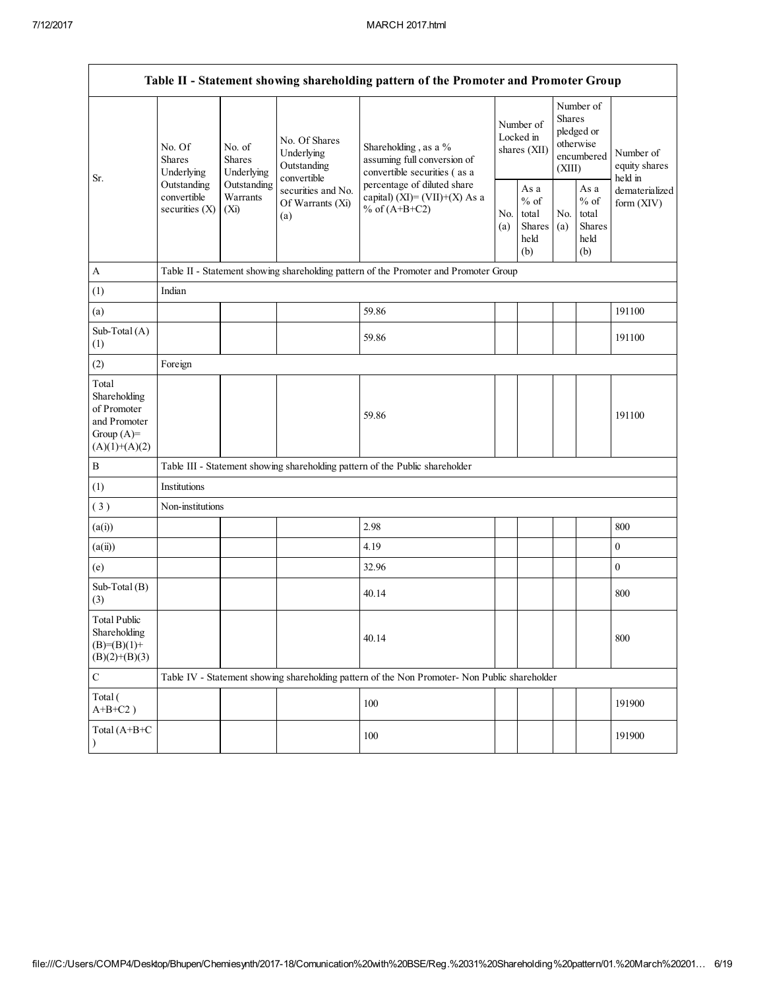|                                                                                         |                                                |                                                     |                                                           | Table II - Statement showing shareholding pattern of the Promoter and Promoter Group          |                                        |                                                  |                                                                        |                                                  |                                       |  |  |
|-----------------------------------------------------------------------------------------|------------------------------------------------|-----------------------------------------------------|-----------------------------------------------------------|-----------------------------------------------------------------------------------------------|----------------------------------------|--------------------------------------------------|------------------------------------------------------------------------|--------------------------------------------------|---------------------------------------|--|--|
|                                                                                         | No. Of<br><b>Shares</b>                        | No. of<br><b>Shares</b><br>Underlying<br>Underlying | No. Of Shares<br>Underlying<br>Outstanding<br>convertible | Shareholding, as a %<br>assuming full conversion of<br>convertible securities (as a           | Number of<br>Locked in<br>shares (XII) |                                                  | Number of<br>Shares<br>pledged or<br>otherwise<br>encumbered<br>(XIII) |                                                  | Number of<br>equity shares<br>held in |  |  |
| Sr.                                                                                     | Outstanding<br>convertible<br>securities $(X)$ | Outstanding<br>Warrants<br>$(X_i)$                  | securities and No.<br>Of Warrants (Xi)<br>(a)             | percentage of diluted share<br>capital) (XI)= $(VII)+(X)$ As a<br>% of $(A+B+C2)$             |                                        | As a<br>$%$ of<br>total<br>Shares<br>held<br>(b) | No.<br>(a)                                                             | As a<br>$%$ of<br>total<br>Shares<br>held<br>(b) | dematerialized<br>form $(XIV)$        |  |  |
| A                                                                                       |                                                |                                                     |                                                           | Table II - Statement showing shareholding pattern of the Promoter and Promoter Group          |                                        |                                                  |                                                                        |                                                  |                                       |  |  |
| (1)                                                                                     | Indian                                         |                                                     |                                                           |                                                                                               |                                        |                                                  |                                                                        |                                                  |                                       |  |  |
| (a)                                                                                     |                                                |                                                     |                                                           | 59.86                                                                                         |                                        |                                                  |                                                                        |                                                  | 191100                                |  |  |
| Sub-Total (A)<br>(1)                                                                    |                                                |                                                     |                                                           | 59.86                                                                                         |                                        |                                                  |                                                                        |                                                  | 191100                                |  |  |
| (2)                                                                                     | Foreign                                        |                                                     |                                                           |                                                                                               |                                        |                                                  |                                                                        |                                                  |                                       |  |  |
| Total<br>Shareholding<br>of Promoter<br>and Promoter<br>Group $(A)=$<br>$(A)(1)+(A)(2)$ |                                                |                                                     |                                                           | 59.86                                                                                         |                                        |                                                  |                                                                        |                                                  | 191100                                |  |  |
| B                                                                                       |                                                |                                                     |                                                           | Table III - Statement showing shareholding pattern of the Public shareholder                  |                                        |                                                  |                                                                        |                                                  |                                       |  |  |
| (1)                                                                                     | Institutions                                   |                                                     |                                                           |                                                                                               |                                        |                                                  |                                                                        |                                                  |                                       |  |  |
| (3)                                                                                     | Non-institutions                               |                                                     |                                                           |                                                                                               |                                        |                                                  |                                                                        |                                                  |                                       |  |  |
| (a(i))                                                                                  |                                                |                                                     |                                                           | 2.98                                                                                          |                                        |                                                  |                                                                        |                                                  | 800                                   |  |  |
| (a(ii))                                                                                 |                                                |                                                     |                                                           | 4.19                                                                                          |                                        |                                                  |                                                                        |                                                  | $\mathbf{0}$                          |  |  |
| (e)                                                                                     |                                                |                                                     |                                                           | 32.96                                                                                         |                                        |                                                  |                                                                        |                                                  | $\boldsymbol{0}$                      |  |  |
| Sub-Total (B)<br>(3)                                                                    |                                                |                                                     |                                                           | 40.14                                                                                         |                                        |                                                  |                                                                        |                                                  | 800                                   |  |  |
| <b>Total Public</b><br>Shareholding<br>$(B)= (B)(1) +$<br>$(B)(2)+(B)(3)$               |                                                |                                                     |                                                           | 40.14                                                                                         |                                        |                                                  |                                                                        |                                                  | 800                                   |  |  |
| ${\bf C}$                                                                               |                                                |                                                     |                                                           | Table IV - Statement showing shareholding pattern of the Non Promoter- Non Public shareholder |                                        |                                                  |                                                                        |                                                  |                                       |  |  |
| Total (<br>$A+B+C2$ )                                                                   |                                                |                                                     |                                                           | 100                                                                                           |                                        |                                                  |                                                                        |                                                  | 191900                                |  |  |
| Total (A+B+C<br>$\lambda$                                                               |                                                |                                                     |                                                           | 100                                                                                           |                                        |                                                  |                                                                        |                                                  | 191900                                |  |  |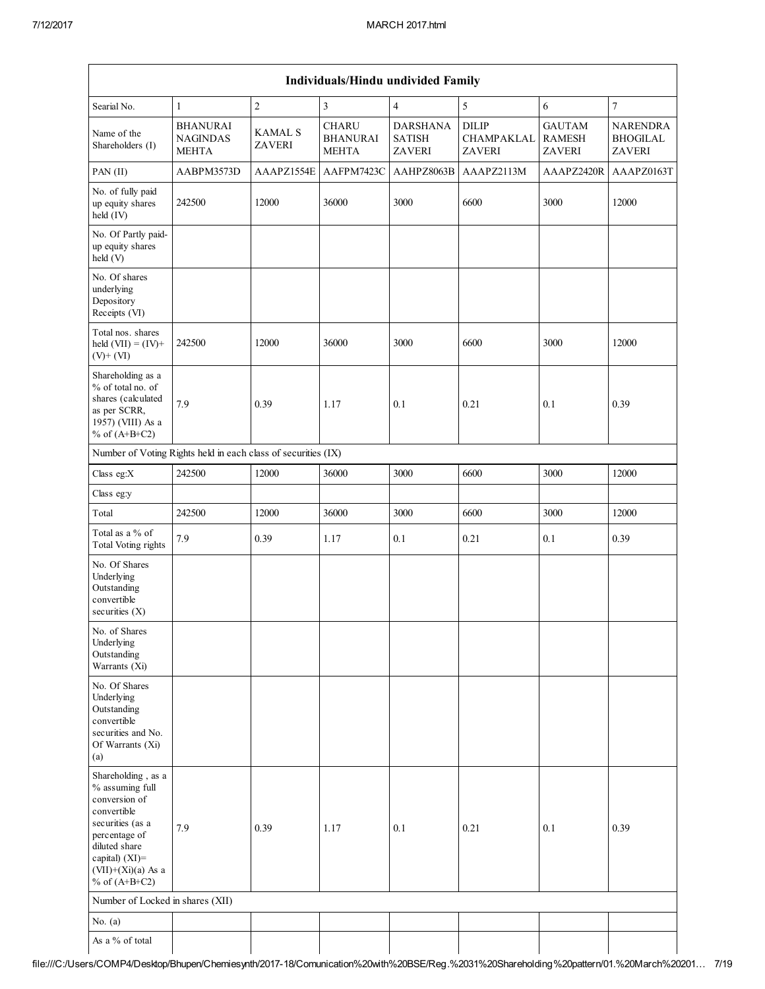Г

| Individuals/Hindu undivided Family                                                                                                                                                          |                                                    |                                 |                                                 |                                                   |                                             |                                                 |                                                     |  |  |  |  |
|---------------------------------------------------------------------------------------------------------------------------------------------------------------------------------------------|----------------------------------------------------|---------------------------------|-------------------------------------------------|---------------------------------------------------|---------------------------------------------|-------------------------------------------------|-----------------------------------------------------|--|--|--|--|
| Searial No.                                                                                                                                                                                 | $\mathbf{1}$                                       | $\overline{2}$                  | $\overline{\mathbf{3}}$                         | $\overline{4}$                                    | 5                                           | 6                                               | $\boldsymbol{7}$                                    |  |  |  |  |
| Name of the<br>Shareholders (I)                                                                                                                                                             | <b>BHANURAI</b><br><b>NAGINDAS</b><br><b>MEHTA</b> | <b>KAMAL S</b><br><b>ZAVERI</b> | <b>CHARU</b><br><b>BHANURAI</b><br><b>MEHTA</b> | <b>DARSHANA</b><br><b>SATISH</b><br><b>ZAVERI</b> | <b>DILIP</b><br>CHAMPAKLAL<br><b>ZAVERI</b> | <b>GAUTAM</b><br><b>RAMESH</b><br><b>ZAVERI</b> | <b>NARENDRA</b><br><b>BHOGILAL</b><br><b>ZAVERI</b> |  |  |  |  |
| PAN (II)                                                                                                                                                                                    | AABPM3573D                                         | AAAPZ1554E                      | AAFPM7423C                                      | AAHPZ8063B                                        | AAAPZ2113M                                  | AAAPZ2420R                                      | AAAPZ0163T                                          |  |  |  |  |
| No. of fully paid<br>up equity shares<br>held (IV)                                                                                                                                          | 242500                                             | 12000                           | 36000                                           | 3000                                              | 6600                                        | 3000                                            | 12000                                               |  |  |  |  |
| No. Of Partly paid-<br>up equity shares<br>held (V)                                                                                                                                         |                                                    |                                 |                                                 |                                                   |                                             |                                                 |                                                     |  |  |  |  |
| No. Of shares<br>underlying<br>Depository<br>Receipts (VI)                                                                                                                                  |                                                    |                                 |                                                 |                                                   |                                             |                                                 |                                                     |  |  |  |  |
| Total nos. shares<br>held $(VII) = (IV) +$<br>$(V)$ + $(VI)$                                                                                                                                | 242500                                             | 12000                           | 36000                                           | 3000                                              | 6600                                        | 3000                                            | 12000                                               |  |  |  |  |
| Shareholding as a<br>% of total no. of<br>shares (calculated<br>as per SCRR,<br>1957) (VIII) As a<br>% of $(A+B+C2)$                                                                        | 7.9                                                | 0.39                            | 1.17                                            | 0.1                                               | 0.21                                        | 0.1                                             | 0.39                                                |  |  |  |  |
| Number of Voting Rights held in each class of securities (IX)                                                                                                                               |                                                    |                                 |                                                 |                                                   |                                             |                                                 |                                                     |  |  |  |  |
| Class eg:X                                                                                                                                                                                  | 242500                                             | 12000                           | 36000                                           | 3000                                              | 6600                                        | 3000                                            | 12000                                               |  |  |  |  |
| Class eg:y                                                                                                                                                                                  |                                                    |                                 |                                                 |                                                   |                                             |                                                 |                                                     |  |  |  |  |
| Total                                                                                                                                                                                       | 242500                                             | 12000                           | 36000                                           | 3000                                              | 6600                                        | 3000                                            | 12000                                               |  |  |  |  |
| Total as a % of<br>Total Voting rights                                                                                                                                                      | 7.9                                                | 0.39                            | 1.17                                            | 0.1                                               | 0.21                                        | 0.1                                             | 0.39                                                |  |  |  |  |
| No. Of Shares<br>Underlying<br>Outstanding<br>convertible<br>securities $(X)$                                                                                                               |                                                    |                                 |                                                 |                                                   |                                             |                                                 |                                                     |  |  |  |  |
| No. of Shares<br>Underlying<br>Outstanding<br>Warrants (Xi)                                                                                                                                 |                                                    |                                 |                                                 |                                                   |                                             |                                                 |                                                     |  |  |  |  |
| No. Of Shares<br>Underlying<br>Outstanding<br>convertible<br>securities and No.<br>Of Warrants (Xi)<br>(a)                                                                                  |                                                    |                                 |                                                 |                                                   |                                             |                                                 |                                                     |  |  |  |  |
| Shareholding, as a<br>% assuming full<br>conversion of<br>convertible<br>securities (as a<br>percentage of<br>diluted share<br>capital) $(XI)$ =<br>$(VII)+(Xi)(a)$ As a<br>% of $(A+B+C2)$ | 7.9                                                | 0.39                            | 1.17                                            | 0.1                                               | 0.21                                        | 0.1                                             | 0.39                                                |  |  |  |  |
| Number of Locked in shares (XII)                                                                                                                                                            |                                                    |                                 |                                                 |                                                   |                                             |                                                 |                                                     |  |  |  |  |
| No. $(a)$                                                                                                                                                                                   |                                                    |                                 |                                                 |                                                   |                                             |                                                 |                                                     |  |  |  |  |
| As a % of total                                                                                                                                                                             |                                                    |                                 |                                                 |                                                   |                                             |                                                 |                                                     |  |  |  |  |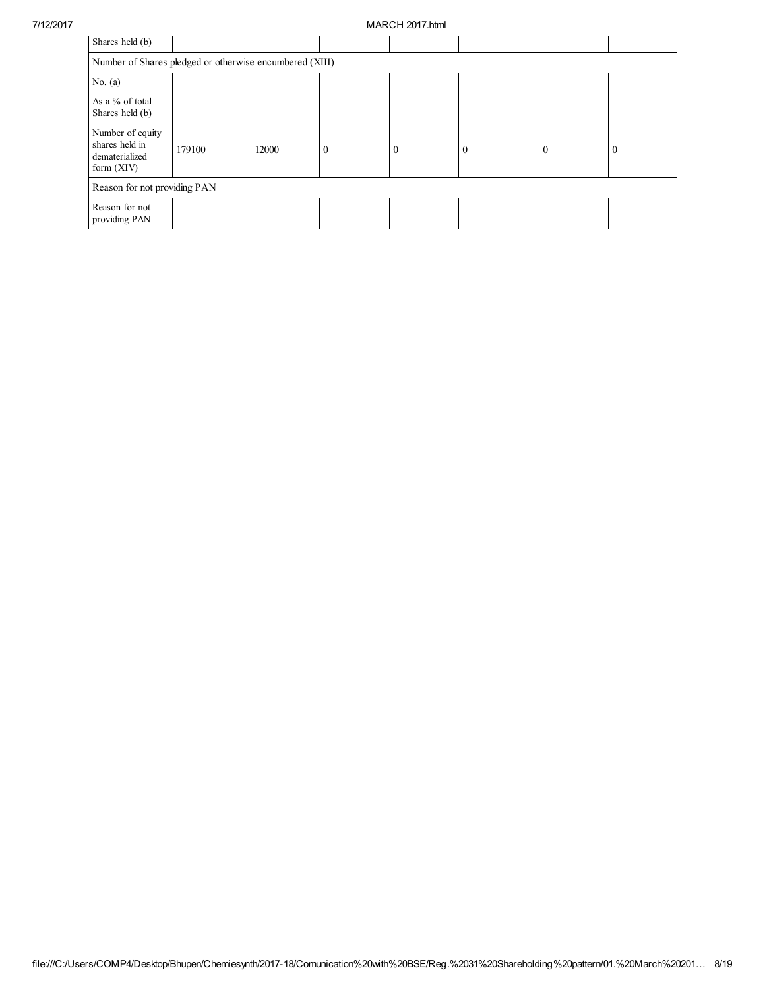## 7/12/2017 MARCH 2017.html

| Shares held (b)                                                      |                                                         |       |          |  |          |              |          |  |  |  |  |  |
|----------------------------------------------------------------------|---------------------------------------------------------|-------|----------|--|----------|--------------|----------|--|--|--|--|--|
|                                                                      | Number of Shares pledged or otherwise encumbered (XIII) |       |          |  |          |              |          |  |  |  |  |  |
| No. $(a)$                                                            |                                                         |       |          |  |          |              |          |  |  |  |  |  |
| As a % of total<br>Shares held (b)                                   |                                                         |       |          |  |          |              |          |  |  |  |  |  |
| Number of equity<br>shares held in<br>dematerialized<br>form $(XIV)$ | 179100                                                  | 12000 | $\theta$ |  | $\bf{0}$ | $\mathbf{0}$ | $\theta$ |  |  |  |  |  |
|                                                                      | Reason for not providing PAN                            |       |          |  |          |              |          |  |  |  |  |  |
| Reason for not<br>providing PAN                                      |                                                         |       |          |  |          |              |          |  |  |  |  |  |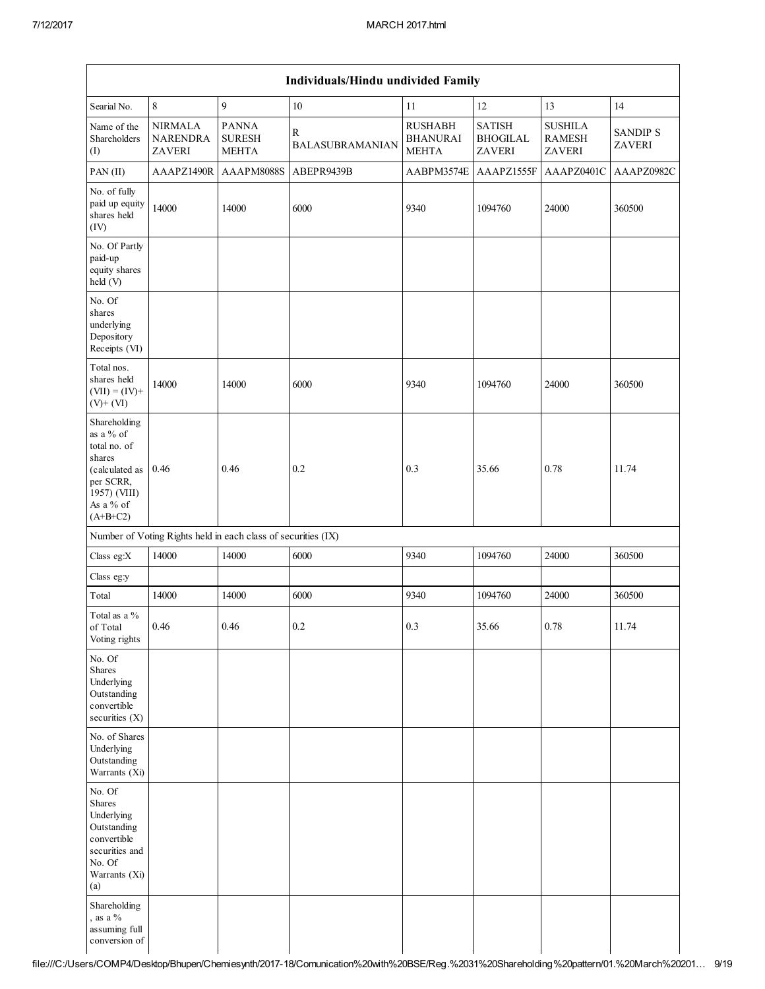| Individuals/Hindu undivided Family                                                                                            |                                                    |                                                               |                             |                                                   |                                                   |                                                  |                                  |  |  |  |  |
|-------------------------------------------------------------------------------------------------------------------------------|----------------------------------------------------|---------------------------------------------------------------|-----------------------------|---------------------------------------------------|---------------------------------------------------|--------------------------------------------------|----------------------------------|--|--|--|--|
| Searial No.                                                                                                                   | $\,8\,$                                            | 9                                                             | 10                          | 11                                                | 12                                                | 13                                               | 14                               |  |  |  |  |
| Name of the<br>Shareholders<br>(I)                                                                                            | <b>NIRMALA</b><br><b>NARENDRA</b><br><b>ZAVERI</b> | <b>PANNA</b><br><b>SURESH</b><br><b>MEHTA</b>                 | R<br><b>BALASUBRAMANIAN</b> | <b>RUSHABH</b><br><b>BHANURAI</b><br><b>MEHTA</b> | <b>SATISH</b><br><b>BHOGILAL</b><br><b>ZAVERI</b> | <b>SUSHILA</b><br><b>RAMESH</b><br><b>ZAVERI</b> | <b>SANDIP S</b><br><b>ZAVERI</b> |  |  |  |  |
| PAN (II)                                                                                                                      | AAAPZ1490R                                         | AAAPM8088S                                                    | ABEPR9439B                  | AABPM3574E                                        | AAAPZ1555F                                        | AAAPZ0401C                                       | AAAPZ0982C                       |  |  |  |  |
| No. of fully<br>paid up equity<br>shares held<br>(IV)                                                                         | 14000                                              | 14000                                                         | 6000                        | 9340                                              | 1094760                                           | 24000                                            | 360500                           |  |  |  |  |
| No. Of Partly<br>paid-up<br>equity shares<br>held (V)                                                                         |                                                    |                                                               |                             |                                                   |                                                   |                                                  |                                  |  |  |  |  |
| No. Of<br>shares<br>underlying<br>Depository<br>Receipts (VI)                                                                 |                                                    |                                                               |                             |                                                   |                                                   |                                                  |                                  |  |  |  |  |
| Total nos.<br>shares held<br>$(VII) = (IV) +$<br>$(V)$ + $(VI)$                                                               | 14000                                              | 14000                                                         | 6000                        | 9340                                              | 1094760                                           | 24000                                            | 360500                           |  |  |  |  |
| Shareholding<br>as a % of<br>total no. of<br>shares<br>(calculated as<br>per SCRR,<br>1957) (VIII)<br>As a % of<br>$(A+B+C2)$ | 0.46                                               | 0.46                                                          | 0.2                         | 0.3                                               | 35.66                                             | 0.78                                             | 11.74                            |  |  |  |  |
|                                                                                                                               |                                                    | Number of Voting Rights held in each class of securities (IX) |                             |                                                   |                                                   |                                                  |                                  |  |  |  |  |
| Class eg: $X$                                                                                                                 | 14000                                              | 14000                                                         | 6000                        | 9340                                              | 1094760                                           | 24000                                            | 360500                           |  |  |  |  |
| Class eg:y                                                                                                                    |                                                    |                                                               |                             |                                                   |                                                   |                                                  |                                  |  |  |  |  |
| Total                                                                                                                         | 14000                                              | 14000                                                         | 6000                        | 9340                                              | 1094760                                           | 24000                                            | 360500                           |  |  |  |  |
| Total as a %<br>of Total<br>Voting rights                                                                                     | 0.46                                               | 0.46                                                          | 0.2                         | 0.3                                               | 35.66                                             | 0.78                                             | 11.74                            |  |  |  |  |
| No. Of<br>Shares<br>Underlying<br>Outstanding<br>convertible<br>securities (X)                                                |                                                    |                                                               |                             |                                                   |                                                   |                                                  |                                  |  |  |  |  |
| No. of Shares<br>Underlying<br>Outstanding<br>Warrants (Xi)                                                                   |                                                    |                                                               |                             |                                                   |                                                   |                                                  |                                  |  |  |  |  |
| No. Of<br>Shares<br>Underlying<br>Outstanding<br>convertible<br>securities and<br>No. Of<br>Warrants (Xi)<br>(a)              |                                                    |                                                               |                             |                                                   |                                                   |                                                  |                                  |  |  |  |  |
| Shareholding<br>, as a $\%$<br>assuming full<br>conversion of                                                                 |                                                    |                                                               |                             |                                                   |                                                   |                                                  |                                  |  |  |  |  |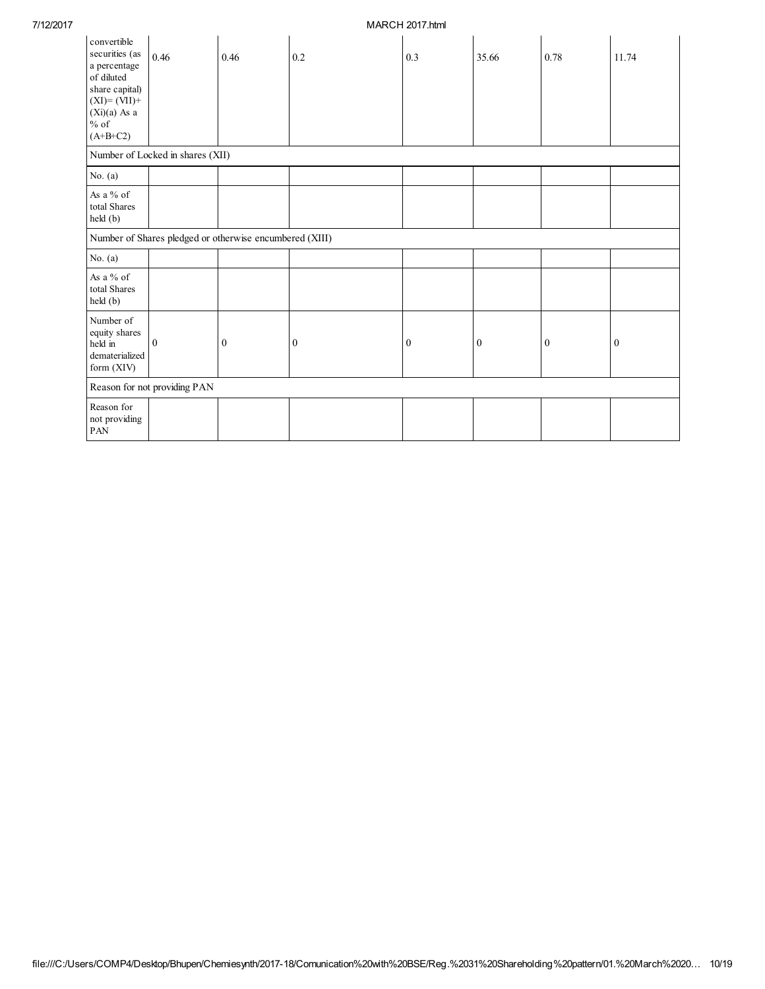## 7/12/2017 MARCH 2017.html

| convertible<br>securities (as<br>a percentage<br>of diluted<br>share capital)<br>$(XI)=(VII)+$<br>$(Xi)(a)$ As a<br>$\%$ of<br>$(A+B+C2)$ | 0.46                             | 0.46                                                    | 0.2          | 0.3          | 35.66        | 0.78     | 11.74        |
|-------------------------------------------------------------------------------------------------------------------------------------------|----------------------------------|---------------------------------------------------------|--------------|--------------|--------------|----------|--------------|
|                                                                                                                                           | Number of Locked in shares (XII) |                                                         |              |              |              |          |              |
| No. $(a)$                                                                                                                                 |                                  |                                                         |              |              |              |          |              |
| As a % of<br>total Shares<br>held(b)                                                                                                      |                                  |                                                         |              |              |              |          |              |
|                                                                                                                                           |                                  | Number of Shares pledged or otherwise encumbered (XIII) |              |              |              |          |              |
| No. $(a)$                                                                                                                                 |                                  |                                                         |              |              |              |          |              |
| As a % of<br>total Shares<br>held (b)                                                                                                     |                                  |                                                         |              |              |              |          |              |
| Number of<br>equity shares<br>held in<br>dematerialized<br>form (XIV)                                                                     | $\overline{0}$                   | $\mathbf{0}$                                            | $\mathbf{0}$ | $\mathbf{0}$ | $\mathbf{0}$ | $\bf{0}$ | $\mathbf{0}$ |
|                                                                                                                                           | Reason for not providing PAN     |                                                         |              |              |              |          |              |
| Reason for<br>not providing<br>PAN                                                                                                        |                                  |                                                         |              |              |              |          |              |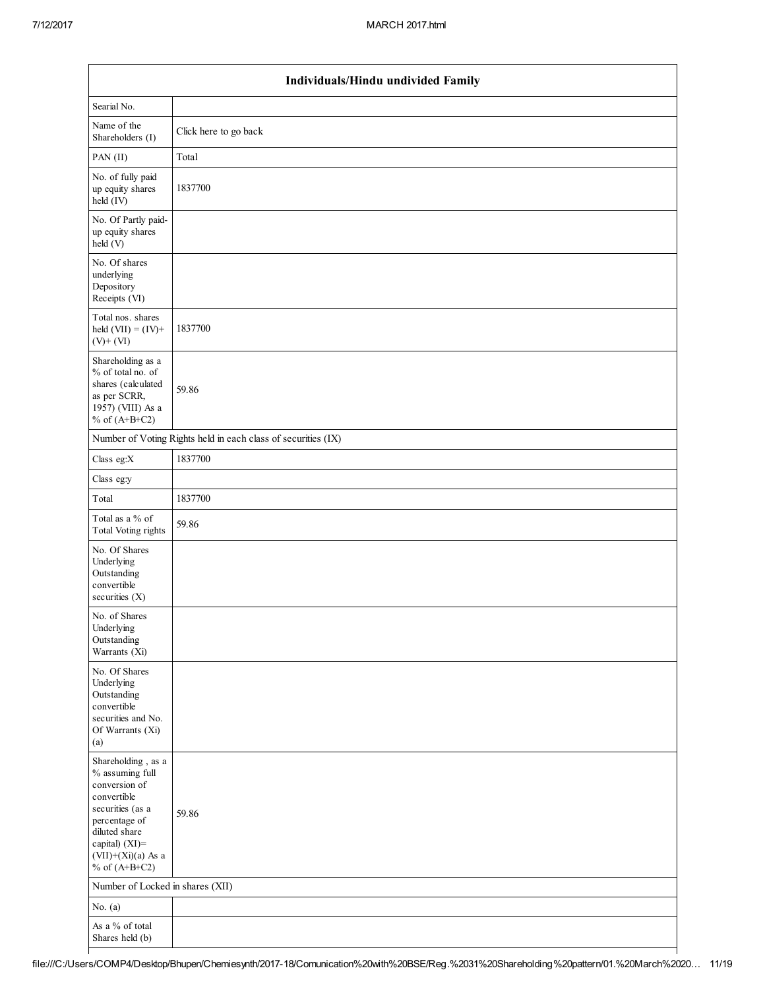| Individuals/Hindu undivided Family                                                                                                                                                       |                                                               |  |  |  |  |  |  |  |
|------------------------------------------------------------------------------------------------------------------------------------------------------------------------------------------|---------------------------------------------------------------|--|--|--|--|--|--|--|
| Searial No.                                                                                                                                                                              |                                                               |  |  |  |  |  |  |  |
| Name of the<br>Shareholders (I)                                                                                                                                                          | Click here to go back                                         |  |  |  |  |  |  |  |
| PAN (II)                                                                                                                                                                                 | Total                                                         |  |  |  |  |  |  |  |
| No. of fully paid<br>up equity shares<br>held (IV)                                                                                                                                       | 1837700                                                       |  |  |  |  |  |  |  |
| No. Of Partly paid-<br>up equity shares<br>held (V)                                                                                                                                      |                                                               |  |  |  |  |  |  |  |
| No. Of shares<br>underlying<br>Depository<br>Receipts (VI)                                                                                                                               |                                                               |  |  |  |  |  |  |  |
| Total nos. shares<br>held $(VII) = (IV) +$<br>$(V)$ + $(VI)$                                                                                                                             | 1837700                                                       |  |  |  |  |  |  |  |
| Shareholding as a<br>% of total no. of<br>shares (calculated<br>as per SCRR,<br>1957) (VIII) As a<br>% of $(A+B+C2)$                                                                     | 59.86                                                         |  |  |  |  |  |  |  |
|                                                                                                                                                                                          | Number of Voting Rights held in each class of securities (IX) |  |  |  |  |  |  |  |
| Class eg: $X$                                                                                                                                                                            | 1837700                                                       |  |  |  |  |  |  |  |
| Class eg:y                                                                                                                                                                               |                                                               |  |  |  |  |  |  |  |
| Total                                                                                                                                                                                    | 1837700                                                       |  |  |  |  |  |  |  |
| Total as a % of<br>Total Voting rights                                                                                                                                                   | 59.86                                                         |  |  |  |  |  |  |  |
| No. Of Shares<br>Underlying<br>Outstanding<br>convertible<br>securities $(X)$                                                                                                            |                                                               |  |  |  |  |  |  |  |
| No. of Shares<br>Underlying<br>Outstanding<br>Warrants (Xi)                                                                                                                              |                                                               |  |  |  |  |  |  |  |
| No. Of Shares<br>Underlying<br>Outstanding<br>convertible<br>securities and No.<br>Of Warrants (Xi)<br>(a)                                                                               |                                                               |  |  |  |  |  |  |  |
| Shareholding, as a<br>% assuming full<br>conversion of<br>convertible<br>securities (as a<br>percentage of<br>diluted share<br>capital) (XI)=<br>$(VII)+(Xi)(a)$ As a<br>% of $(A+B+C2)$ | 59.86                                                         |  |  |  |  |  |  |  |
| Number of Locked in shares (XII)                                                                                                                                                         |                                                               |  |  |  |  |  |  |  |
| No. $(a)$                                                                                                                                                                                |                                                               |  |  |  |  |  |  |  |
| As a % of total<br>Shares held (b)                                                                                                                                                       |                                                               |  |  |  |  |  |  |  |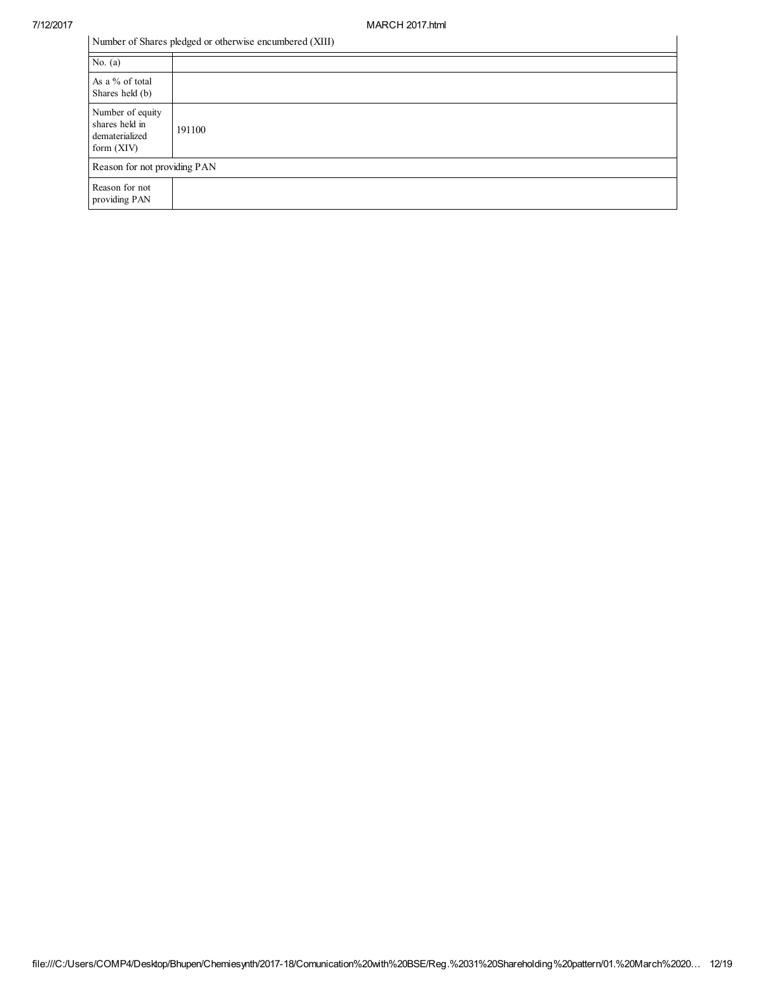|  |  |  |  | Number of Shares pledged or otherwise encumbered (XIII) |  |
|--|--|--|--|---------------------------------------------------------|--|
|--|--|--|--|---------------------------------------------------------|--|

| Number of Shares pledged or otherwise encumbered (XIII)              |        |  |
|----------------------------------------------------------------------|--------|--|
| No. $(a)$                                                            |        |  |
| As a % of total<br>Shares held (b)                                   |        |  |
| Number of equity<br>shares held in<br>dematerialized<br>form $(XIV)$ | 191100 |  |
| Reason for not providing PAN                                         |        |  |
| Reason for not<br>providing PAN                                      |        |  |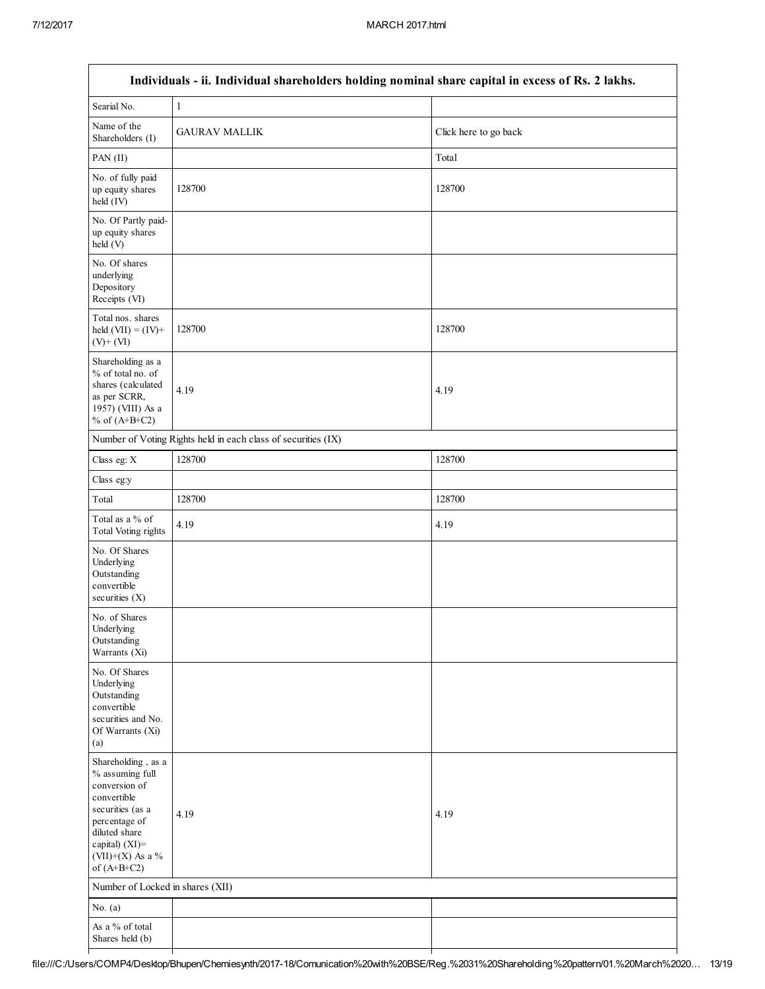| Individuals - ii. Individual shareholders holding nominal share capital in excess of Rs. 2 lakhs.                                                                                  |                                                               |                       |  |  |  |
|------------------------------------------------------------------------------------------------------------------------------------------------------------------------------------|---------------------------------------------------------------|-----------------------|--|--|--|
| Searial No.                                                                                                                                                                        | $\mathbf{1}$                                                  |                       |  |  |  |
| Name of the<br>Shareholders (I)                                                                                                                                                    | <b>GAURAV MALLIK</b>                                          | Click here to go back |  |  |  |
| PAN (II)                                                                                                                                                                           |                                                               | Total                 |  |  |  |
| No. of fully paid<br>up equity shares<br>held (IV)                                                                                                                                 | 128700                                                        | 128700                |  |  |  |
| No. Of Partly paid-<br>up equity shares<br>held (V)                                                                                                                                |                                                               |                       |  |  |  |
| No. Of shares<br>underlying<br>Depository<br>Receipts (VI)                                                                                                                         |                                                               |                       |  |  |  |
| Total nos. shares<br>held $(VII) = (IV) +$<br>$(V)$ + $(VI)$                                                                                                                       | 128700                                                        | 128700                |  |  |  |
| Shareholding as a<br>% of total no. of<br>shares (calculated<br>as per SCRR,<br>1957) (VIII) As a<br>% of $(A+B+C2)$                                                               | 4.19                                                          | 4.19                  |  |  |  |
|                                                                                                                                                                                    | Number of Voting Rights held in each class of securities (IX) |                       |  |  |  |
| Class eg: X                                                                                                                                                                        | 128700                                                        | 128700                |  |  |  |
| Class eg:y                                                                                                                                                                         |                                                               |                       |  |  |  |
| Total                                                                                                                                                                              | 128700                                                        | 128700                |  |  |  |
| Total as a % of<br>Total Voting rights                                                                                                                                             | 4.19                                                          | 4.19                  |  |  |  |
| No. Of Shares<br>Underlying<br>Outstanding<br>convertible<br>securities $(X)$                                                                                                      |                                                               |                       |  |  |  |
| No. of Shares<br>Underlying<br>Outstanding<br>Warrants (Xi)                                                                                                                        |                                                               |                       |  |  |  |
| No. Of Shares<br>Underlying<br>Outstanding<br>convertible<br>securities and No.<br>Of Warrants (Xi)<br>(a)                                                                         |                                                               |                       |  |  |  |
| Shareholding, as a<br>% assuming full<br>conversion of<br>convertible<br>securities (as a<br>percentage of<br>diluted share<br>capital) (XI)=<br>(VII)+(X) As a %<br>of $(A+B+C2)$ | 4.19                                                          | 4.19                  |  |  |  |
| Number of Locked in shares (XII)                                                                                                                                                   |                                                               |                       |  |  |  |
| No. $(a)$                                                                                                                                                                          |                                                               |                       |  |  |  |
| As a % of total<br>Shares held (b)                                                                                                                                                 |                                                               |                       |  |  |  |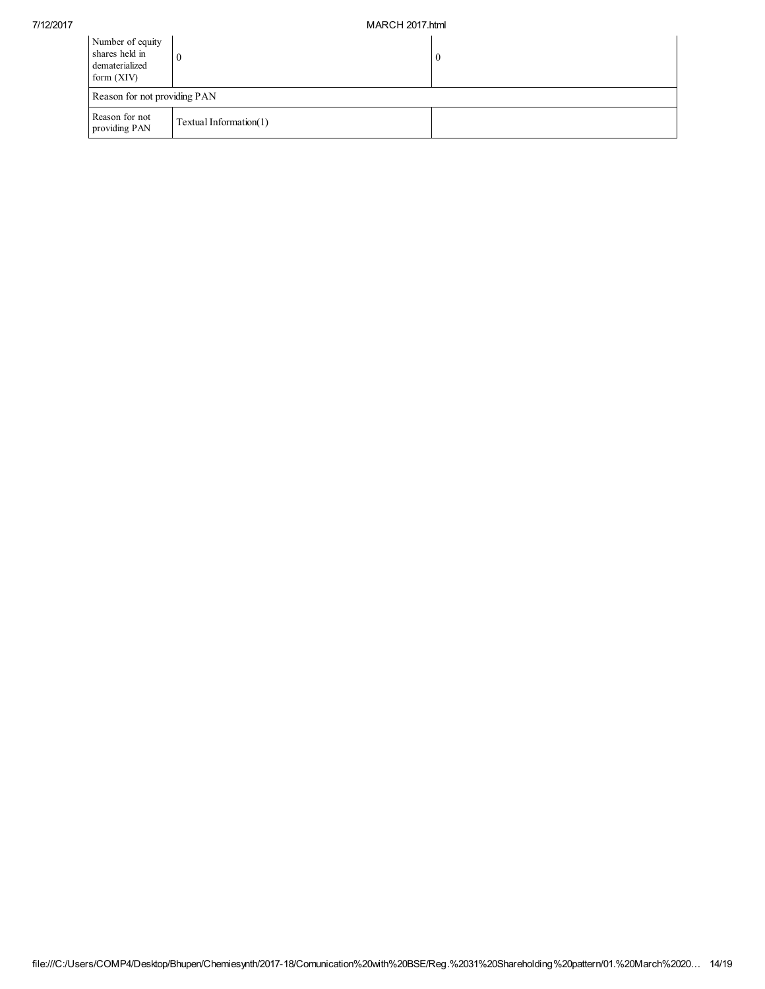| Number of equity<br>shares held in<br>dematerialized<br>form $(XIV)$ |                        | $\bf{0}$ |  |  |
|----------------------------------------------------------------------|------------------------|----------|--|--|
| Reason for not providing PAN                                         |                        |          |  |  |
| Reason for not<br>providing PAN                                      | Textual Information(1) |          |  |  |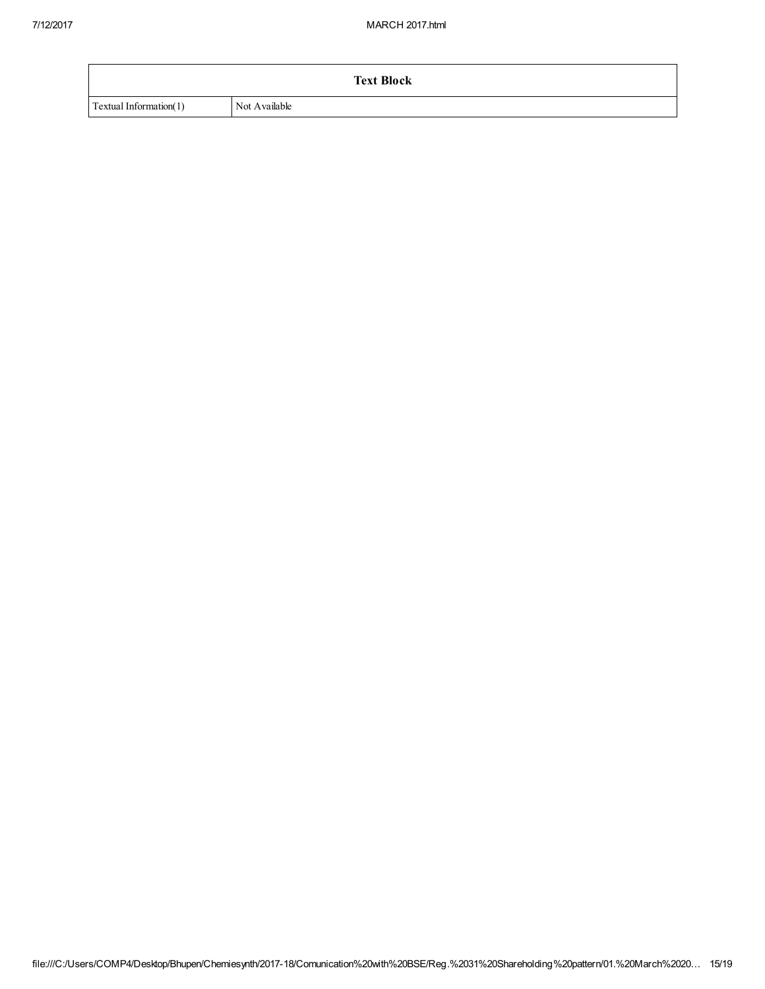|                        | <b>Text Block</b> |
|------------------------|-------------------|
| Textual Information(1) | Not Available     |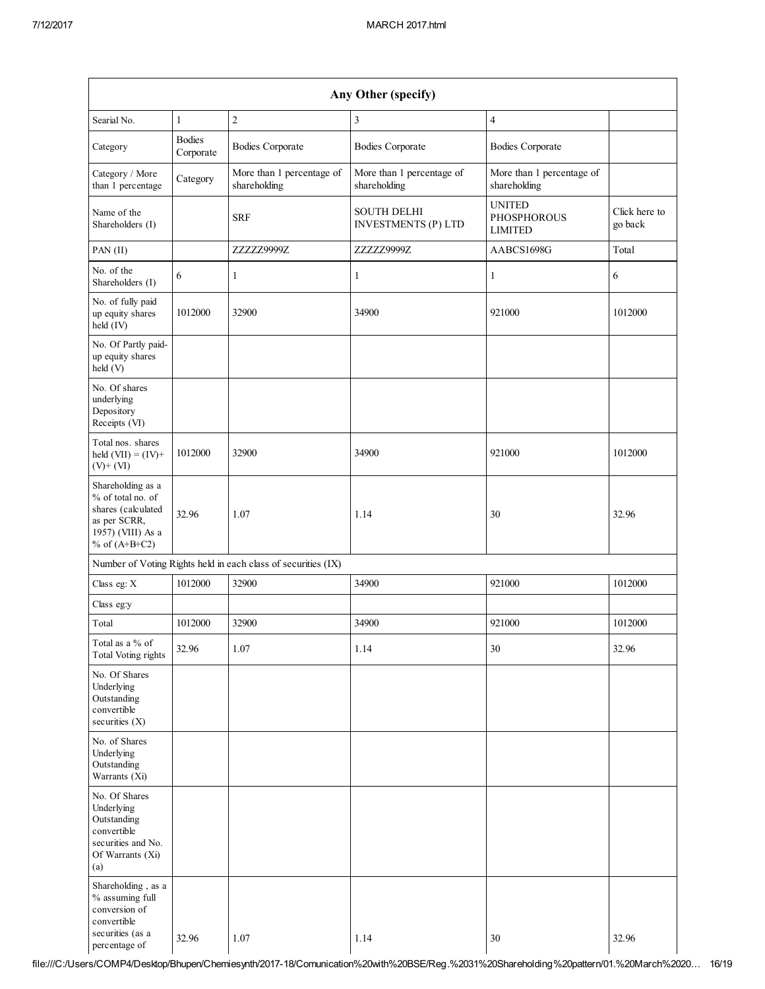| Any Other (specify)                                                                                                  |                            |                                                               |                                                  |                                                       |                          |
|----------------------------------------------------------------------------------------------------------------------|----------------------------|---------------------------------------------------------------|--------------------------------------------------|-------------------------------------------------------|--------------------------|
| Searial No.                                                                                                          | $\mathbf{1}$               | $\overline{2}$                                                | 3                                                | $\overline{4}$                                        |                          |
| Category                                                                                                             | <b>Bodies</b><br>Corporate | <b>Bodies Corporate</b>                                       | <b>Bodies Corporate</b>                          | <b>Bodies Corporate</b>                               |                          |
| Category / More<br>than 1 percentage                                                                                 | Category                   | More than 1 percentage of<br>shareholding                     | More than 1 percentage of<br>shareholding        | More than 1 percentage of<br>shareholding             |                          |
| Name of the<br>Shareholders (I)                                                                                      |                            | <b>SRF</b>                                                    | <b>SOUTH DELHI</b><br><b>INVESTMENTS (P) LTD</b> | <b>UNITED</b><br><b>PHOSPHOROUS</b><br><b>LIMITED</b> | Click here to<br>go back |
| PAN(II)                                                                                                              |                            | ZZZZZ9999Z                                                    | ZZZZZ9999Z                                       | AABCS1698G                                            | Total                    |
| No. of the<br>Shareholders (I)                                                                                       | 6                          | $\mathbf{1}$                                                  | $\mathbf{1}$                                     | $\mathbf{1}$                                          | 6                        |
| No. of fully paid<br>up equity shares<br>held (IV)                                                                   | 1012000                    | 32900                                                         | 34900                                            | 921000                                                | 1012000                  |
| No. Of Partly paid-<br>up equity shares<br>held(V)                                                                   |                            |                                                               |                                                  |                                                       |                          |
| No. Of shares<br>underlying<br>Depository<br>Receipts (VI)                                                           |                            |                                                               |                                                  |                                                       |                          |
| Total nos. shares<br>held $(VII) = (IV) +$<br>$(V)$ + $(VI)$                                                         | 1012000                    | 32900                                                         | 34900                                            | 921000                                                | 1012000                  |
| Shareholding as a<br>% of total no. of<br>shares (calculated<br>as per SCRR,<br>1957) (VIII) As a<br>% of $(A+B+C2)$ | 32.96                      | 1.07                                                          | 1.14                                             | 30                                                    | 32.96                    |
|                                                                                                                      |                            | Number of Voting Rights held in each class of securities (IX) |                                                  |                                                       |                          |
| Class eg: X                                                                                                          | 1012000                    | 32900                                                         | 34900                                            | 921000                                                | 1012000                  |
| Class eg:y                                                                                                           |                            |                                                               |                                                  |                                                       |                          |
| Total                                                                                                                | 1012000                    | 32900                                                         | 34900                                            | 921000                                                | 1012000                  |
| Total as a % of<br><b>Total Voting rights</b>                                                                        | 32.96                      | 1.07                                                          | 1.14                                             | 30                                                    | 32.96                    |
| No. Of Shares<br>Underlying<br>Outstanding<br>convertible<br>securities $(X)$                                        |                            |                                                               |                                                  |                                                       |                          |
| No. of Shares<br>Underlying<br>Outstanding<br>Warrants (Xi)                                                          |                            |                                                               |                                                  |                                                       |                          |
| No. Of Shares<br>Underlying<br>Outstanding<br>convertible<br>securities and No.<br>Of Warrants (Xi)<br>(a)           |                            |                                                               |                                                  |                                                       |                          |
| Shareholding, as a<br>% assuming full<br>conversion of<br>convertible<br>securities (as a<br>percentage of           | 32.96                      | 1.07                                                          | 1.14                                             | 30                                                    | 32.96                    |

file:///C:/Users/COMP4/Desktop/Bhupen/Chemiesynth/2017-18/Comunication%20with%20BSE/Reg.%2031%20Shareholding%20pattern/01.%20March%2020… 16/19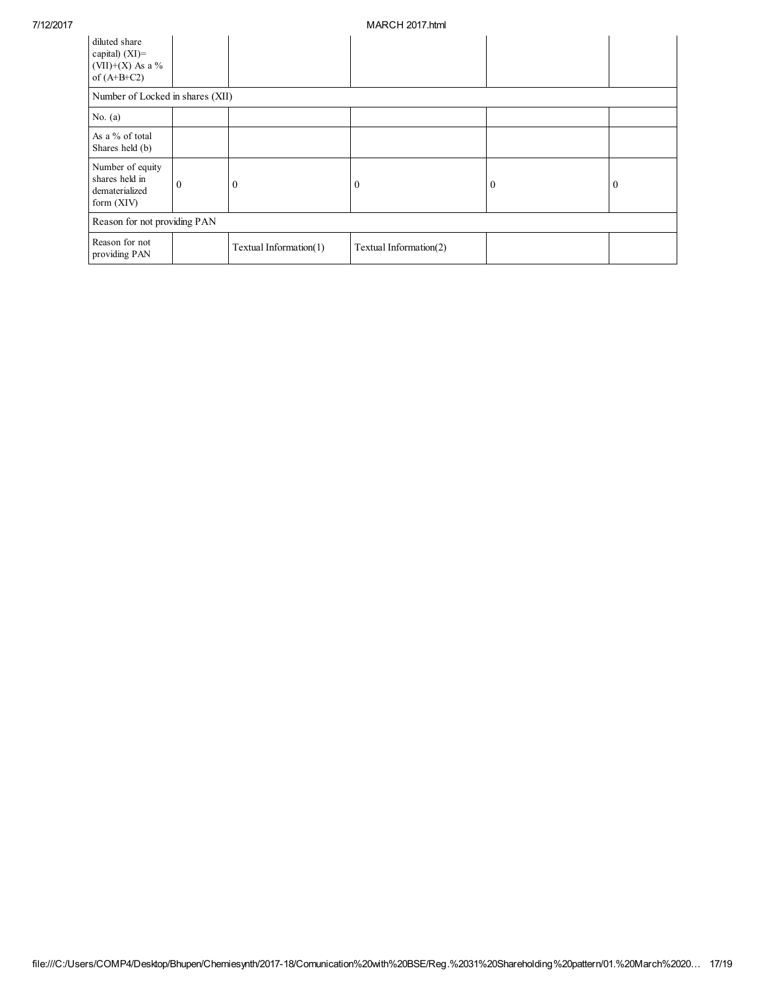| diluted share<br>capital) $(XI)$ =<br>(VII)+(X) As a $\%$<br>of $(A+B+C2)$ |                                  |                        |                        |              |          |
|----------------------------------------------------------------------------|----------------------------------|------------------------|------------------------|--------------|----------|
|                                                                            | Number of Locked in shares (XII) |                        |                        |              |          |
| No. $(a)$                                                                  |                                  |                        |                        |              |          |
| As a % of total<br>Shares held (b)                                         |                                  |                        |                        |              |          |
| Number of equity<br>shares held in<br>dematerialized<br>form $(XIV)$       | $\theta$                         | $\bf{0}$               | $_{0}$                 | $\mathbf{0}$ | $\bf{0}$ |
| Reason for not providing PAN                                               |                                  |                        |                        |              |          |
| Reason for not<br>providing PAN                                            |                                  | Textual Information(1) | Textual Information(2) |              |          |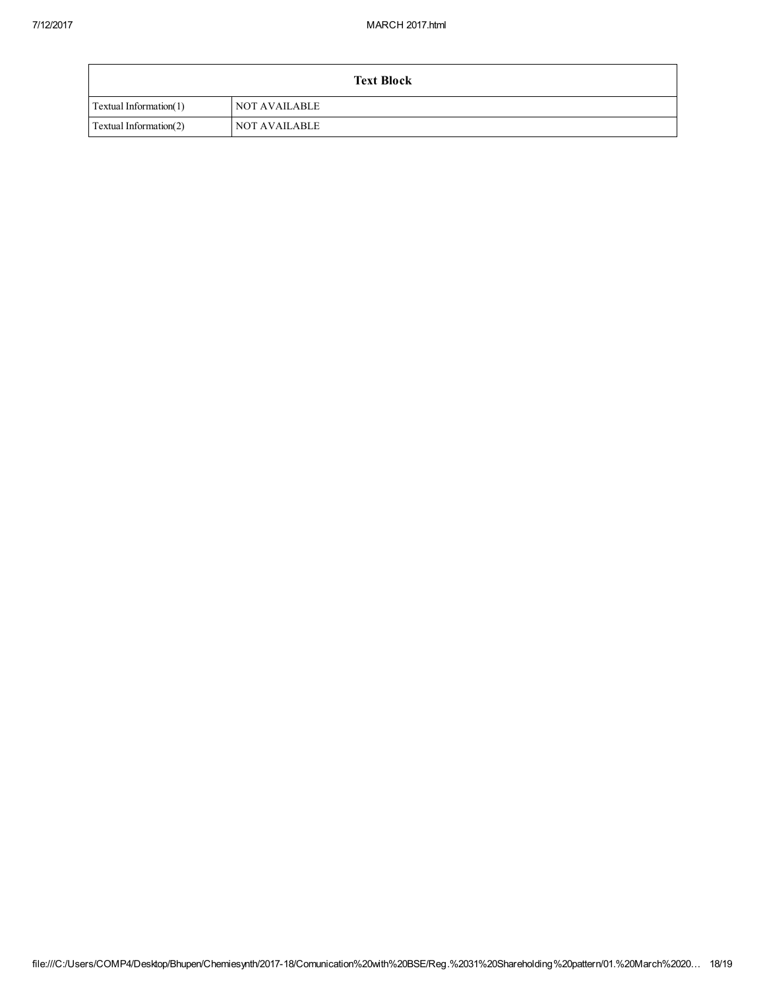| <b>Text Block</b>      |                      |  |
|------------------------|----------------------|--|
| Textual Information(1) | <b>NOT AVAILABLE</b> |  |
| Textual Information(2) | NOT AVAILABLE        |  |